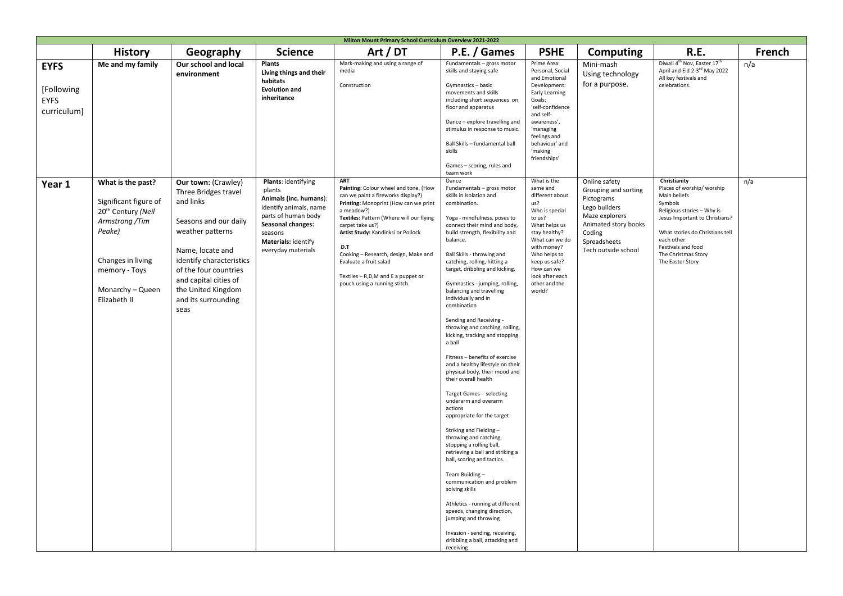| Milton Mount Primary School Curriculum Overview 2021-2022 |                                                                                                                                                                                    |                                                                                                                                                                                                                                                                     |                                                                                                                                                                                       |                                                                                                                                                                                                                                                                                                                                                                                                        |                                                                                                                                                                                                                                                                                                                                                                                                                                                                                                                                                                                                                                                                                                                                                                                                                                                                                                                                                                                                                                                                                                                                          |                                                                                                                                                                                                                                               |                                                                                                                                                                 |                                                                                                                                                                                                                                                        |        |
|-----------------------------------------------------------|------------------------------------------------------------------------------------------------------------------------------------------------------------------------------------|---------------------------------------------------------------------------------------------------------------------------------------------------------------------------------------------------------------------------------------------------------------------|---------------------------------------------------------------------------------------------------------------------------------------------------------------------------------------|--------------------------------------------------------------------------------------------------------------------------------------------------------------------------------------------------------------------------------------------------------------------------------------------------------------------------------------------------------------------------------------------------------|------------------------------------------------------------------------------------------------------------------------------------------------------------------------------------------------------------------------------------------------------------------------------------------------------------------------------------------------------------------------------------------------------------------------------------------------------------------------------------------------------------------------------------------------------------------------------------------------------------------------------------------------------------------------------------------------------------------------------------------------------------------------------------------------------------------------------------------------------------------------------------------------------------------------------------------------------------------------------------------------------------------------------------------------------------------------------------------------------------------------------------------|-----------------------------------------------------------------------------------------------------------------------------------------------------------------------------------------------------------------------------------------------|-----------------------------------------------------------------------------------------------------------------------------------------------------------------|--------------------------------------------------------------------------------------------------------------------------------------------------------------------------------------------------------------------------------------------------------|--------|
|                                                           | <b>History</b>                                                                                                                                                                     | Geography                                                                                                                                                                                                                                                           | <b>Science</b>                                                                                                                                                                        | Art / DT                                                                                                                                                                                                                                                                                                                                                                                               | P.E. / Games                                                                                                                                                                                                                                                                                                                                                                                                                                                                                                                                                                                                                                                                                                                                                                                                                                                                                                                                                                                                                                                                                                                             | <b>PSHE</b>                                                                                                                                                                                                                                   | Computing                                                                                                                                                       | R.E.                                                                                                                                                                                                                                                   | French |
| <b>EYFS</b><br>[Following<br><b>EYFS</b><br>curriculum]   | Me and my family                                                                                                                                                                   | Our school and local<br>environment                                                                                                                                                                                                                                 | <b>Plants</b><br>Living things and their<br>habitats<br><b>Evolution and</b><br>inheritance                                                                                           | Mark-making and using a range of<br>media<br>Construction                                                                                                                                                                                                                                                                                                                                              | Fundamentals - gross motor<br>skills and staying safe<br>Gymnastics - basic<br>movements and skills<br>including short sequences on<br>floor and apparatus<br>Dance - explore travelling and<br>stimulus in response to music.<br>Ball Skills - fundamental ball<br>skills<br>Games - scoring, rules and<br>team work                                                                                                                                                                                                                                                                                                                                                                                                                                                                                                                                                                                                                                                                                                                                                                                                                    | Prime Area:<br>Personal, Social<br>and Emotional<br>Development:<br>Early Learning<br>Goals:<br>'self-confidence<br>and self-<br>awareness',<br>'managing<br>feelings and<br>behaviour' and<br>'making<br>friendships'                        | Mini-mash<br>Using technology<br>for a purpose.                                                                                                                 | Diwali 4 <sup>th</sup> Nov, Easter 17 <sup>th</sup><br>April and Eid 2-3rd May 2022<br>All key festivals and<br>celebrations.                                                                                                                          | n/a    |
| Year 1                                                    | What is the past?<br>Significant figure of<br>20 <sup>th</sup> Century (Neil<br>Armstrong /Tim<br>Peake)<br>Changes in living<br>memory - Toys<br>Monarchy - Queen<br>Elizabeth II | <b>Our town: (Crawley)</b><br>Three Bridges travel<br>and links<br>Seasons and our daily<br>weather patterns<br>Name, locate and<br>identify characteristics<br>of the four countries<br>and capital cities of<br>the United Kingdom<br>and its surrounding<br>seas | Plants: identifying<br>plants<br>Animals (inc. humans):<br>identify animals, name<br>parts of human body<br>Seasonal changes:<br>seasons<br>Materials: identify<br>everyday materials | <b>ART</b><br>Painting: Colour wheel and tone. (How<br>can we paint a fireworks display?)<br>Printing: Monoprint (How can we print<br>a meadow?)<br>Textiles: Pattern (Where will our flying<br>carpet take us?)<br>Artist Study: Kandinksi or Pollock<br>D.T<br>Cooking - Research, design, Make and<br>Evaluate a fruit salad<br>Textiles - R,D,M and E a puppet or<br>pouch using a running stitch. | Dance<br>Fundamentals - gross motor<br>skills in isolation and<br>combination.<br>Yoga - mindfulness, poses to<br>connect their mind and body,<br>build strength, flexibility and<br>balance.<br>Ball Skills - throwing and<br>catching, rolling, hitting a<br>target, dribbling and kicking.<br>Gymnastics - jumping, rolling,<br>balancing and travelling<br>individually and in<br>combination<br>Sending and Receiving -<br>throwing and catching, rolling,<br>kicking, tracking and stopping<br>a ball<br>Fitness - benefits of exercise<br>and a healthy lifestyle on their<br>physical body, their mood and<br>their overall health<br>Target Games - selecting<br>underarm and overarm<br>actions<br>appropriate for the target<br>Striking and Fielding-<br>throwing and catching,<br>stopping a rolling ball,<br>retrieving a ball and striking a<br>ball, scoring and tactics.<br>Team Building-<br>communication and problem<br>solving skills<br>Athletics - running at different<br>speeds, changing direction,<br>jumping and throwing<br>Invasion - sending, receiving,<br>dribbling a ball, attacking and<br>receiving. | What is the<br>same and<br>different about<br>us?<br>Who is special<br>to us?<br>What helps us<br>stay healthy?<br>What can we do<br>with money?<br>Who helps to<br>keep us safe?<br>How can we<br>look after each<br>other and the<br>world? | Online safety<br>Grouping and sorting<br>Pictograms<br>Lego builders<br>Maze explorers<br>Animated story books<br>Coding<br>Spreadsheets<br>Tech outside school | Christianity<br>Places of worship/worship<br>Main beliefs<br>Symbols<br>Religious stories - Why is<br>Jesus Important to Christians?<br>What stories do Christians tell<br>each other<br>Festivals and food<br>The Christmas Story<br>The Easter Story | n/a    |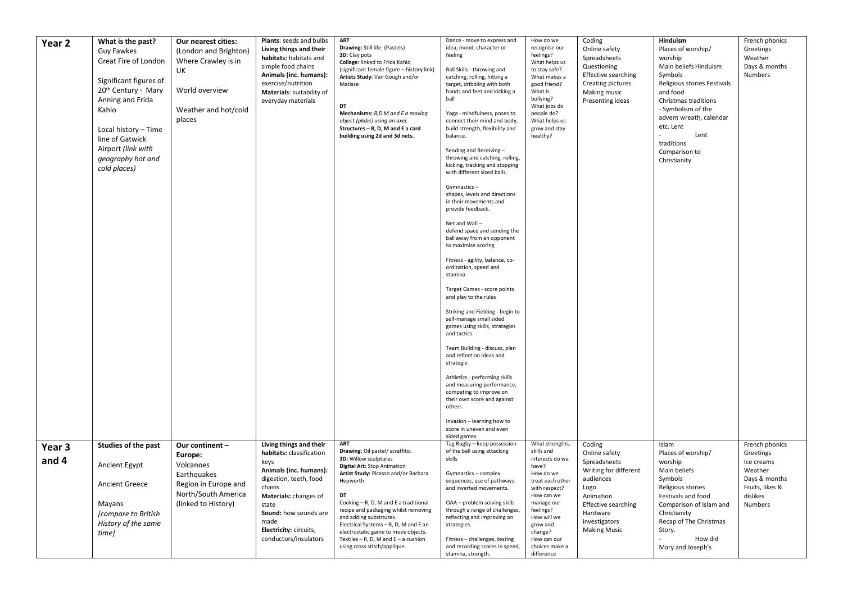| Year 2 | What is the past?<br>Guy Fawkes<br>Great Fire of London<br>Significant figures of<br>20 <sup>th</sup> Century - Mary<br>Anning and Frida<br>Kahlo<br>Local history - Time<br>line of Gatwick<br>Airport (link with<br>geography hot and<br>cold places) | Our nearest cities:<br>(London and Brighton)<br>Where Crawley is in<br>UK<br>World overview<br>Weather and hot/cold<br>places | Plants: seeds and bulbs<br>Living things and their<br>habitats: habitats and<br>simple food chains<br>Animals (inc. humans):<br>exercise/nutrition<br>Materials: suitability of<br>everyday materials | <b>ART</b><br>Drawing: Still life. (Pastels)<br>3D: Clay pots<br>Collage: linked to Frida Kahlo<br>(significant female figure - history link)<br>Artists Study: Van Gough and/or<br>Matisse<br>nт<br>Mechanisms: R,D M and E a moving<br>object (plabe) using an axel.<br>Structures - R, D, M and E a card<br>building using 2d and 3d nets. | Dance - move to express and<br>idea, mood, character or<br>feeling<br>Ball Skills - throwing and<br>catching, rolling, hitting a<br>target, dribbling with both<br>hands and feet and kicking a<br>ball<br>Yoga - mindfulness, poses to<br>connect their mind and body,<br>build strength, flexibility and<br>balance.<br>Sending and Receiving-<br>throwing and catching, rolling,<br>kicking, tracking and stopping<br>with different sized balls.<br>Gymnastics-<br>shapes, levels and directions<br>in their movements and<br>provide feedback.<br>Net and Wall-<br>defend space and sending the<br>ball away from an opponent<br>to maximise scoring<br>Fitness - agility, balance, co-<br>ordination, speed and<br>stamina<br>Target Games - score points<br>and play to the rules<br>Striking and Fielding - begin to<br>self-manage small sided<br>games using skills, strategies<br>and tactics.<br>Team Building - discuss, plan<br>and reflect on ideas and<br>strategie<br>Athletics - performing skills<br>and measuring performance,<br>competing to improve on<br>their own score and against<br>others<br>Invasion - learning how to<br>score in uneven and even | How do we<br>recognise our<br>feelings?<br>What helps us<br>to stay safe?<br>What makes a<br>good friend?<br>What is<br>bullying?<br>What jobs do<br>people do?<br>What helps us<br>grow and stay<br>healthy? | Coding<br>Online safety<br>Spreadsheets<br>Questioning<br><b>Effective searching</b><br>Creating pictures<br>Making music<br>Presenting ideas | Hinduism<br>Places of worship/<br>worship<br>Main beliefs Hinduism<br>Symbols<br>Religious stories Festivals<br>and food<br>Christmas traditions<br>- Symbolism of the<br>advent wreath, calendar<br>etc. Lent<br>Lent<br>traditions<br>Comparison to<br>Christianity | French phonics<br>Greetings<br>Weather<br>Days & months<br>Numbers |
|--------|---------------------------------------------------------------------------------------------------------------------------------------------------------------------------------------------------------------------------------------------------------|-------------------------------------------------------------------------------------------------------------------------------|-------------------------------------------------------------------------------------------------------------------------------------------------------------------------------------------------------|-----------------------------------------------------------------------------------------------------------------------------------------------------------------------------------------------------------------------------------------------------------------------------------------------------------------------------------------------|----------------------------------------------------------------------------------------------------------------------------------------------------------------------------------------------------------------------------------------------------------------------------------------------------------------------------------------------------------------------------------------------------------------------------------------------------------------------------------------------------------------------------------------------------------------------------------------------------------------------------------------------------------------------------------------------------------------------------------------------------------------------------------------------------------------------------------------------------------------------------------------------------------------------------------------------------------------------------------------------------------------------------------------------------------------------------------------------------------------------------------------------------------------------------------|---------------------------------------------------------------------------------------------------------------------------------------------------------------------------------------------------------------|-----------------------------------------------------------------------------------------------------------------------------------------------|-----------------------------------------------------------------------------------------------------------------------------------------------------------------------------------------------------------------------------------------------------------------------|--------------------------------------------------------------------|
| Year 3 | Studies of the past                                                                                                                                                                                                                                     | Our continent -                                                                                                               | Living things and their                                                                                                                                                                               | ART                                                                                                                                                                                                                                                                                                                                           | sided games<br>Tag Rugby - keep possession                                                                                                                                                                                                                                                                                                                                                                                                                                                                                                                                                                                                                                                                                                                                                                                                                                                                                                                                                                                                                                                                                                                                       | What strengths,                                                                                                                                                                                               | Coding                                                                                                                                        | Islam                                                                                                                                                                                                                                                                 | French phonics                                                     |
| and 4  | <b>Ancient Egypt</b>                                                                                                                                                                                                                                    | Europe:<br>Volcanoes                                                                                                          | habitats: classification<br>keys                                                                                                                                                                      | Drawing: Oil pastel/ scraffito.<br>3D: Willow sculptures<br>Digital Art: Stop Animation                                                                                                                                                                                                                                                       | of the ball using attacking<br>skills                                                                                                                                                                                                                                                                                                                                                                                                                                                                                                                                                                                                                                                                                                                                                                                                                                                                                                                                                                                                                                                                                                                                            | skills and<br>interests do we<br>have?                                                                                                                                                                        | Online safety<br>Spreadsheets                                                                                                                 | Places of worship/<br>worship                                                                                                                                                                                                                                         | Greetings<br>Ice creams                                            |
|        | <b>Ancient Greece</b>                                                                                                                                                                                                                                   | Earthquakes<br>Region in Europe and                                                                                           | Animals (inc. humans):<br>digestion, teeth, food                                                                                                                                                      | Artist Study: Picasso and/or Barbara<br>Hepworth                                                                                                                                                                                                                                                                                              | Gymnastics - complex<br>sequences, use of pathways                                                                                                                                                                                                                                                                                                                                                                                                                                                                                                                                                                                                                                                                                                                                                                                                                                                                                                                                                                                                                                                                                                                               | How do we<br>treat each other                                                                                                                                                                                 | Writing for different<br>audiences                                                                                                            | Main beliefs<br>Symbols                                                                                                                                                                                                                                               | Weather<br>Days & months                                           |
|        |                                                                                                                                                                                                                                                         | North/South America                                                                                                           | chains<br>Materials: changes of                                                                                                                                                                       | DT                                                                                                                                                                                                                                                                                                                                            | and inverted movements.                                                                                                                                                                                                                                                                                                                                                                                                                                                                                                                                                                                                                                                                                                                                                                                                                                                                                                                                                                                                                                                                                                                                                          | with respect?<br>How can we                                                                                                                                                                                   | Logo<br>Animation                                                                                                                             | Religious stories<br>Festivals and food                                                                                                                                                                                                                               | Fruits, likes &<br>dislikes                                        |
|        | Mayans<br><i>compare to British</i><br>History of the same<br>time]                                                                                                                                                                                     | (linked to History)                                                                                                           | state<br>Sound: how sounds are<br>made<br>Electricity: circuits,<br>conductors/insulators                                                                                                             | Cooking - R, D, M and E a traditional<br>recipe and packaging whilst removing<br>and adding substitutes.<br>Electrical Systems - R, D, M and E an<br>electrostatic game to move objects.<br>Textiles $-$ R, D, M and E $-$ a cushion<br>using cross stitch/applique.                                                                          | OAA - problem solving skills<br>through a range of challenges,<br>reflecting and improving on<br>strategies.<br>Fitness - challenges, testing<br>and recording scores in speed,<br>stamina, strength,                                                                                                                                                                                                                                                                                                                                                                                                                                                                                                                                                                                                                                                                                                                                                                                                                                                                                                                                                                            | manage our<br>feelings?<br>How will we<br>grow and<br>change?<br>How can our<br>choices make a<br>difference                                                                                                  | <b>Effective searching</b><br>Hardware<br>investigators<br><b>Making Music</b>                                                                | Comparison of Islam and<br>Christianity<br>Recap of The Christmas<br>Story.<br>How did<br>Mary and Joseph's                                                                                                                                                           | Numbers                                                            |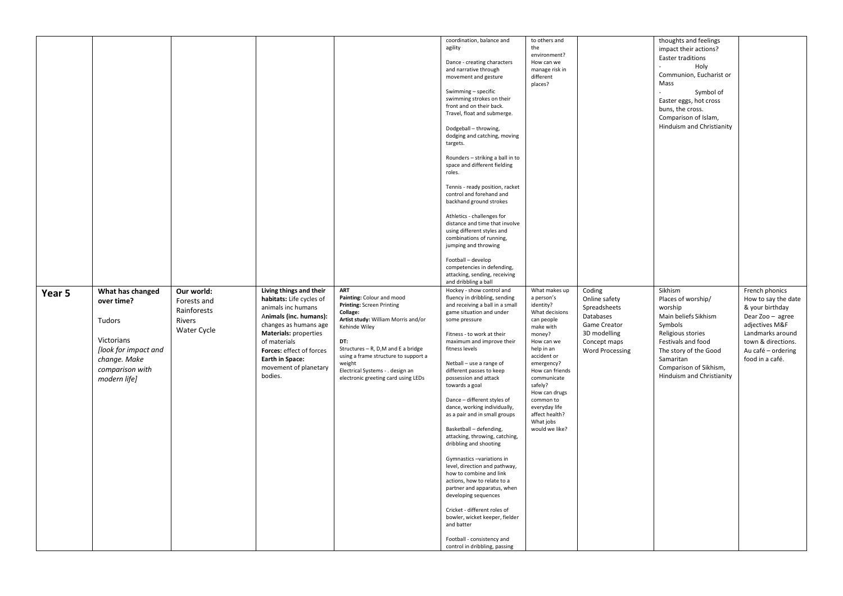|        |                                                                                                                                   |                                                                   |                                                                                                                                                                                                                                                                        |                                                                                                                                                                                                                                                                                                                     | coordination, balance and<br>agility<br>Dance - creating characters<br>and narrative through<br>movement and gesture<br>Swimming - specific<br>swimming strokes on their<br>front and on their back.<br>Travel, float and submerge.<br>Dodgeball - throwing,<br>dodging and catching, moving<br>targets.<br>Rounders - striking a ball in to<br>space and different fielding<br>roles.<br>Tennis - ready position, racket<br>control and forehand and<br>backhand ground strokes<br>Athletics - challenges for<br>distance and time that involve<br>using different styles and<br>combinations of running,<br>jumping and throwing<br>Football - develop<br>competencies in defending,<br>attacking, sending, receiving<br>and dribbling a ball                                                                                                 | to others and<br>the<br>environment?<br>How can we<br>manage risk in<br>different<br>places?                                                                                                                                                                                                          |                                                                                                                                | thoughts and feelings<br>impact their actions?<br>Easter traditions<br>Holy<br>Communion, Eucharist or<br>Mass<br>Symbol of<br>Easter eggs, hot cross<br>buns, the cross.<br>Comparison of Islam,<br>Hinduism and Christianity |                                                                                                                                                                                   |
|--------|-----------------------------------------------------------------------------------------------------------------------------------|-------------------------------------------------------------------|------------------------------------------------------------------------------------------------------------------------------------------------------------------------------------------------------------------------------------------------------------------------|---------------------------------------------------------------------------------------------------------------------------------------------------------------------------------------------------------------------------------------------------------------------------------------------------------------------|-------------------------------------------------------------------------------------------------------------------------------------------------------------------------------------------------------------------------------------------------------------------------------------------------------------------------------------------------------------------------------------------------------------------------------------------------------------------------------------------------------------------------------------------------------------------------------------------------------------------------------------------------------------------------------------------------------------------------------------------------------------------------------------------------------------------------------------------------|-------------------------------------------------------------------------------------------------------------------------------------------------------------------------------------------------------------------------------------------------------------------------------------------------------|--------------------------------------------------------------------------------------------------------------------------------|--------------------------------------------------------------------------------------------------------------------------------------------------------------------------------------------------------------------------------|-----------------------------------------------------------------------------------------------------------------------------------------------------------------------------------|
| Year 5 | What has changed<br>over time?<br>Tudors<br>Victorians<br>[look for impact and<br>change. Make<br>comparison with<br>modern life] | Our world:<br>Forests and<br>Rainforests<br>Rivers<br>Water Cycle | Living things and their<br>habitats: Life cycles of<br>animals inc humans<br>Animals (inc. humans):<br>changes as humans age<br><b>Materials: properties</b><br>of materials<br>Forces: effect of forces<br><b>Earth in Space:</b><br>movement of planetary<br>bodies. | <b>ART</b><br>Painting: Colour and mood<br>Printing: Screen Printing<br>Collage:<br>Artist study: William Morris and/or<br>Kehinde Wiley<br>DT:<br>Structures - R, D, M and E a bridge<br>using a frame structure to support a<br>weight<br>Electrical Systems - . design an<br>electronic greeting card using LEDs | Hockey - show control and<br>fluency in dribbling, sending<br>and receiving a ball in a small<br>game situation and under<br>some pressure<br>Fitness - to work at their<br>maximum and improve their<br>fitness levels<br>Netball - use a range of<br>different passes to keep<br>possession and attack<br>towards a goal<br>Dance - different styles of<br>dance, working individually,<br>as a pair and in small groups<br>Basketball - defending,<br>attacking, throwing, catching,<br>dribbling and shooting<br>Gymnastics -variations in<br>level, direction and pathway,<br>how to combine and link<br>actions, how to relate to a<br>partner and apparatus, when<br>developing sequences<br>Cricket - different roles of<br>bowler, wicket keeper, fielder<br>and batter<br>Football - consistency and<br>control in dribbling, passing | What makes up<br>a person's<br>identity?<br>What decisions<br>can people<br>make with<br>money?<br>How can we<br>help in an<br>accident or<br>emergency?<br>How can friends<br>communicate<br>safely?<br>How can drugs<br>common to<br>everyday life<br>affect health?<br>What jobs<br>would we like? | Coding<br>Online safety<br>Spreadsheets<br>Databases<br>Game Creator<br>3D modelling<br>Concept maps<br><b>Word Processing</b> | Sikhism<br>Places of worship/<br>worship<br>Main beliefs Sikhism<br>Symbols<br>Religious stories<br>Festivals and food<br>The story of the Good<br>Samaritan<br>Comparison of Sikhism,<br><b>Hinduism and Christianity</b>     | French phonics<br>How to say the date<br>& your birthday<br>Dear Zoo - agree<br>adjectives M&F<br>Landmarks around<br>town & directions.<br>Au café - ordering<br>food in a café. |